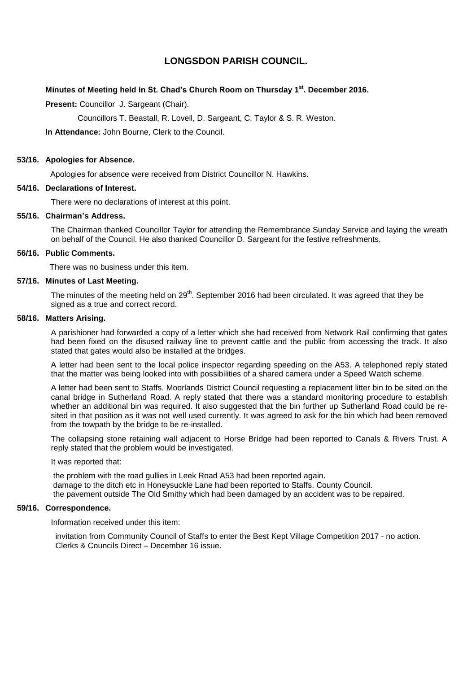# **LONGSDON PARISH COUNCIL.**

# **Minutes of Meeting held in St. Chad's Church Room on Thursday 1 st. December 2016.**

**Present: Councillor J. Sargeant (Chair).** 

Councillors T. Beastall, R. Lovell, D. Sargeant, C. Taylor & S. R. Weston.

**In Attendance:** John Bourne, Clerk to the Council.

#### **53/16. Apologies for Absence.**

Apologies for absence were received from District Councillor N. Hawkins.

#### **54/16. Declarations of Interest.**

There were no declarations of interest at this point.

# **55/16. Chairman's Address.**

The Chairman thanked Councillor Taylor for attending the Remembrance Sunday Service and laying the wreath on behalf of the Council. He also thanked Councillor D. Sargeant for the festive refreshments.

### **56/16. Public Comments.**

There was no business under this item.

#### **57/16. Minutes of Last Meeting.**

The minutes of the meeting held on  $29<sup>th</sup>$ . September 2016 had been circulated. It was agreed that they be signed as a true and correct record.

#### **58/16. Matters Arising.**

A parishioner had forwarded a copy of a letter which she had received from Network Rail confirming that gates had been fixed on the disused railway line to prevent cattle and the public from accessing the track. It also stated that gates would also be installed at the bridges.

A letter had been sent to the local police inspector regarding speeding on the A53. A telephoned reply stated that the matter was being looked into with possibilities of a shared camera under a Speed Watch scheme.

A letter had been sent to Staffs. Moorlands District Council requesting a replacement litter bin to be sited on the canal bridge in Sutherland Road. A reply stated that there was a standard monitoring procedure to establish whether an additional bin was required. It also suggested that the bin further up Sutherland Road could be resited in that position as it was not well used currently. It was agreed to ask for the bin which had been removed from the towpath by the bridge to be re-installed.

The collapsing stone retaining wall adjacent to Horse Bridge had been reported to Canals & Rivers Trust. A reply stated that the problem would be investigated.

#### It was reported that:

the problem with the road gullies in Leek Road A53 had been reported again. damage to the ditch etc in Honeysuckle Lane had been reported to Staffs. County Council. the pavement outside The Old Smithy which had been damaged by an accident was to be repaired.

# **59/16. Correspondence.**

Information received under this item:

 invitation from Community Council of Staffs to enter the Best Kept Village Competition 2017 - no action. Clerks & Councils Direct – December 16 issue.